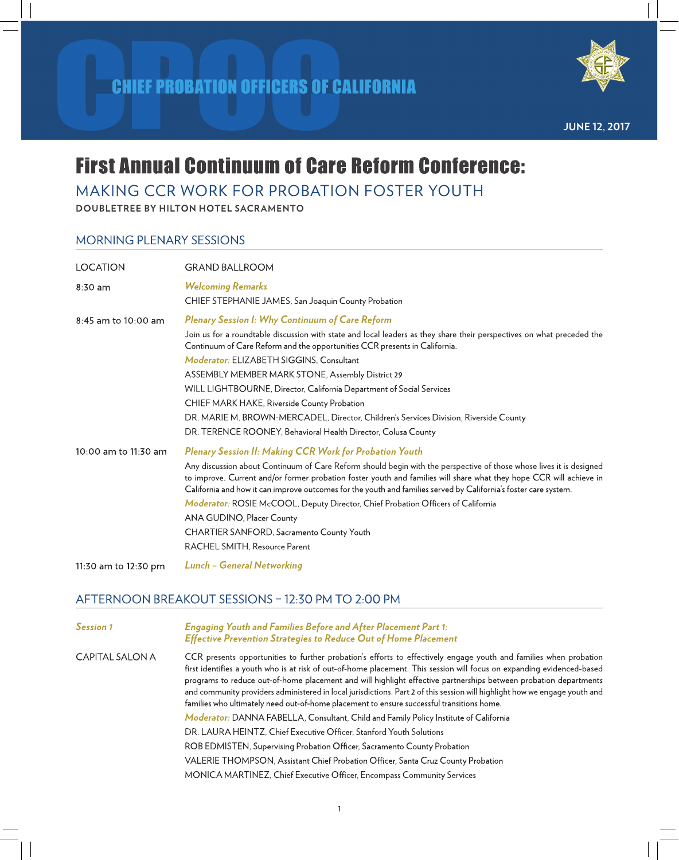

**JUNE 12, 2017** 

# **First Annual Continuum of Care Reform Conference:**

### MAKING CCR WORK FOR PROBATION FOSTER YOUTH

DOUBLETREE BY HILTON HOTEL SACRAMENTO

#### MORNING PLENARY SESSIONS

| <b>LOCATION</b>      | <b>GRAND BALLROOM</b>                                                                                                                                                                                                                                                                                                                                                                                                                                                                                                                                                                                                                           |
|----------------------|-------------------------------------------------------------------------------------------------------------------------------------------------------------------------------------------------------------------------------------------------------------------------------------------------------------------------------------------------------------------------------------------------------------------------------------------------------------------------------------------------------------------------------------------------------------------------------------------------------------------------------------------------|
| $8:30$ am            | <b>Welcoming Remarks</b><br>CHIEF STEPHANIE JAMES, San Joaquin County Probation                                                                                                                                                                                                                                                                                                                                                                                                                                                                                                                                                                 |
| 8:45 am to 10:00 am  | <b>Plenary Session I: Why Continuum of Care Reform</b><br>Join us for a roundtable discussion with state and local leaders as they share their perspectives on what preceded the<br>Continuum of Care Reform and the opportunities CCR presents in California.<br>Moderator: ELIZABETH SIGGINS, Consultant<br>ASSEMBLY MEMBER MARK STONE, Assembly District 29<br>WILL LIGHTBOURNE, Director, California Department of Social Services<br>CHIEF MARK HAKE, Riverside County Probation<br>DR. MARIE M. BROWN-MERCADEL, Director, Children's Services Division, Riverside County<br>DR. TERENCE ROONEY, Behavioral Health Director, Colusa County |
| 10:00 am to 11:30 am | <b>Plenary Session II: Making CCR Work for Probation Youth</b><br>Any discussion about Continuum of Care Reform should begin with the perspective of those whose lives it is designed<br>to improve. Current and/or former probation foster youth and families will share what they hope CCR will achieve in<br>California and how it can improve outcomes for the youth and families served by California's foster care system.<br>Moderator: ROSIE McCOOL, Deputy Director, Chief Probation Officers of California<br>ANA GUDINO, Placer County<br>CHARTIER SANFORD, Sacramento County Youth<br>RACHEL SMITH, Resource Parent                 |
| 11:30 am to 12:30 pm | <b>Lunch - General Networking</b>                                                                                                                                                                                                                                                                                                                                                                                                                                                                                                                                                                                                               |

### AFTERNOON BREAKOUT SESSIONS - 12:30 PM TO 2:00 PM

**Engaging Youth and Families Before and After Placement Part 1: Session 1 Effective Prevention Strategies to Reduce Out of Home Placement CAPITAL SALON A** CCR presents opportunities to further probation's efforts to effectively engage youth and families when probation first identifies a youth who is at risk of out-of-home placement. This session will focus on expanding evidenced-based programs to reduce out-of-home placement and will highlight effective partnerships between probation departments and community providers administered in local jurisdictions. Part 2 of this session will highlight how we engage youth and families who ultimately need out-of-home placement to ensure successful transitions home.

Moderator: DANNA FABELLA, Consultant, Child and Family Policy Institute of California

DR. LAURA HEINTZ, Chief Executive Officer, Stanford Youth Solutions

ROB EDMISTEN, Supervising Probation Officer, Sacramento County Probation

VALERIE THOMPSON, Assistant Chief Probation Officer, Santa Cruz County Probation

MONICA MARTINEZ, Chief Executive Officer, Encompass Community Services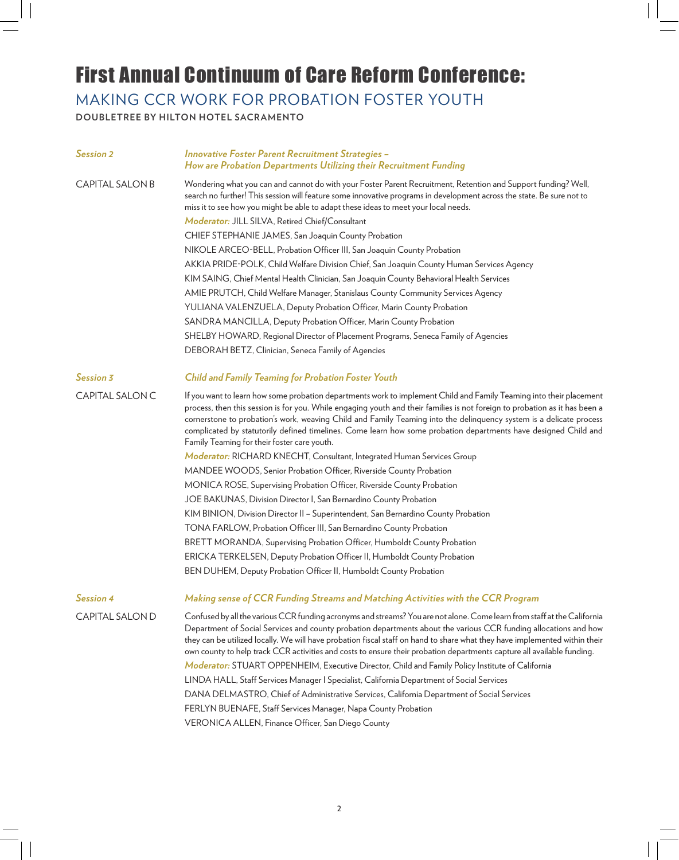## First Annual Continuum of Care Reform Conference:

MAKING CCR WORK FOR PROBATION FOSTER YOUTH

**DOUBLETREE BY HILTON HOTEL SACR AMENTO**

| <b>Session 2</b>       | <b>Innovative Foster Parent Recruitment Strategies -</b><br>How are Probation Departments Utilizing their Recruitment Funding                                                                                                                                                                                                                                                                                                                                                                                                               |
|------------------------|---------------------------------------------------------------------------------------------------------------------------------------------------------------------------------------------------------------------------------------------------------------------------------------------------------------------------------------------------------------------------------------------------------------------------------------------------------------------------------------------------------------------------------------------|
| <b>CAPITAL SALON B</b> | Wondering what you can and cannot do with your Foster Parent Recruitment, Retention and Support funding? Well,<br>search no further! This session will feature some innovative programs in development across the state. Be sure not to<br>miss it to see how you might be able to adapt these ideas to meet your local needs.                                                                                                                                                                                                              |
|                        | Moderator: JILL SILVA, Retired Chief/Consultant                                                                                                                                                                                                                                                                                                                                                                                                                                                                                             |
|                        | CHIEF STEPHANIE JAMES, San Joaquin County Probation                                                                                                                                                                                                                                                                                                                                                                                                                                                                                         |
|                        | NIKOLE ARCEO-BELL, Probation Officer III, San Joaquin County Probation                                                                                                                                                                                                                                                                                                                                                                                                                                                                      |
|                        | AKKIA PRIDE-POLK, Child Welfare Division Chief, San Joaquin County Human Services Agency                                                                                                                                                                                                                                                                                                                                                                                                                                                    |
|                        | KIM SAING, Chief Mental Health Clinician, San Joaquin County Behavioral Health Services                                                                                                                                                                                                                                                                                                                                                                                                                                                     |
|                        | AMIE PRUTCH, Child Welfare Manager, Stanislaus County Community Services Agency                                                                                                                                                                                                                                                                                                                                                                                                                                                             |
|                        | YULIANA VALENZUELA, Deputy Probation Officer, Marin County Probation                                                                                                                                                                                                                                                                                                                                                                                                                                                                        |
|                        | SANDRA MANCILLA, Deputy Probation Officer, Marin County Probation                                                                                                                                                                                                                                                                                                                                                                                                                                                                           |
|                        | SHELBY HOWARD, Regional Director of Placement Programs, Seneca Family of Agencies                                                                                                                                                                                                                                                                                                                                                                                                                                                           |
|                        | DEBORAH BETZ, Clinician, Seneca Family of Agencies                                                                                                                                                                                                                                                                                                                                                                                                                                                                                          |
| Session 3              | <b>Child and Family Teaming for Probation Foster Youth</b>                                                                                                                                                                                                                                                                                                                                                                                                                                                                                  |
| CAPITAL SALON C        | If you want to learn how some probation departments work to implement Child and Family Teaming into their placement<br>process, then this session is for you. While engaging youth and their families is not foreign to probation as it has been a<br>cornerstone to probation's work, weaving Child and Family Teaming into the delinquency system is a delicate process<br>complicated by statutorily defined timelines. Come learn how some probation departments have designed Child and<br>Family Teaming for their foster care youth. |
|                        | Moderator: RICHARD KNECHT, Consultant, Integrated Human Services Group                                                                                                                                                                                                                                                                                                                                                                                                                                                                      |
|                        | MANDEE WOODS, Senior Probation Officer, Riverside County Probation                                                                                                                                                                                                                                                                                                                                                                                                                                                                          |
|                        | MONICA ROSE, Supervising Probation Officer, Riverside County Probation                                                                                                                                                                                                                                                                                                                                                                                                                                                                      |
|                        | JOE BAKUNAS, Division Director I, San Bernardino County Probation                                                                                                                                                                                                                                                                                                                                                                                                                                                                           |
|                        | KIM BINION, Division Director II - Superintendent, San Bernardino County Probation                                                                                                                                                                                                                                                                                                                                                                                                                                                          |
|                        | TONA FARLOW, Probation Officer III, San Bernardino County Probation                                                                                                                                                                                                                                                                                                                                                                                                                                                                         |
|                        | BRETT MORANDA, Supervising Probation Officer, Humboldt County Probation                                                                                                                                                                                                                                                                                                                                                                                                                                                                     |
|                        | ERICKA TERKELSEN, Deputy Probation Officer II, Humboldt County Probation                                                                                                                                                                                                                                                                                                                                                                                                                                                                    |
|                        | BEN DUHEM, Deputy Probation Officer II, Humboldt County Probation                                                                                                                                                                                                                                                                                                                                                                                                                                                                           |
| <b>Session 4</b>       | Making sense of CCR Funding Streams and Matching Activities with the CCR Program                                                                                                                                                                                                                                                                                                                                                                                                                                                            |
| <b>CAPITAL SALON D</b> | Confused by all the various CCR funding acronyms and streams? You are not alone. Come learn from staff at the California<br>Department of Social Services and county probation departments about the various CCR funding allocations and how<br>they can be utilized locally. We will have probation fiscal staff on hand to share what they have implemented within their<br>own county to help track CCR activities and costs to ensure their probation departments capture all available funding.                                        |
|                        | Moderator: STUART OPPENHEIM, Executive Director, Child and Family Policy Institute of California                                                                                                                                                                                                                                                                                                                                                                                                                                            |
|                        | LINDA HALL, Staff Services Manager   Specialist, California Department of Social Services                                                                                                                                                                                                                                                                                                                                                                                                                                                   |
|                        | DANA DELMASTRO, Chief of Administrative Services, California Department of Social Services                                                                                                                                                                                                                                                                                                                                                                                                                                                  |
|                        | FERLYN BUENAFE, Staff Services Manager, Napa County Probation                                                                                                                                                                                                                                                                                                                                                                                                                                                                               |
|                        | VERONICA ALLEN, Finance Officer, San Diego County                                                                                                                                                                                                                                                                                                                                                                                                                                                                                           |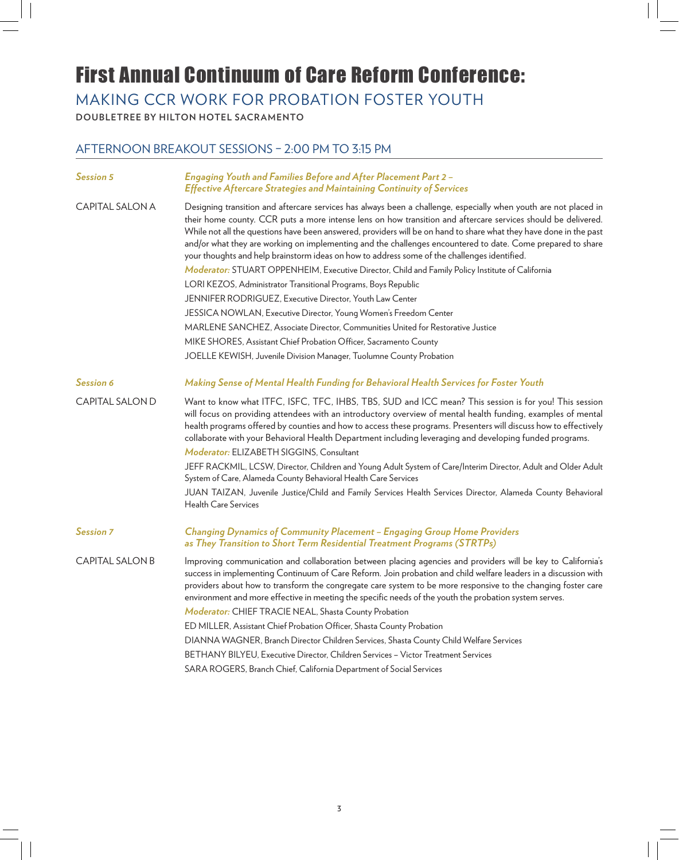### First Annual Continuum of Care Reform Conference:

MAKING CCR WORK FOR PROBATION FOSTER YOUTH

**DOUBLETREE BY HILTON HOTEL SACR AMENTO**

### AFTERNOON BREAKOUT SESSIONS – 2:00 PM TO 3:15 PM

| <b>Session 5</b>       | Engaging Youth and Families Before and After Placement Part 2 -<br><b>Effective Aftercare Strategies and Maintaining Continuity of Services</b>                                                                                                                                                                                                                                                                                                                                                                                                                        |
|------------------------|------------------------------------------------------------------------------------------------------------------------------------------------------------------------------------------------------------------------------------------------------------------------------------------------------------------------------------------------------------------------------------------------------------------------------------------------------------------------------------------------------------------------------------------------------------------------|
| <b>CAPITAL SALON A</b> | Designing transition and aftercare services has always been a challenge, especially when youth are not placed in<br>their home county. CCR puts a more intense lens on how transition and aftercare services should be delivered.<br>While not all the questions have been answered, providers will be on hand to share what they have done in the past<br>and/or what they are working on implementing and the challenges encountered to date. Come prepared to share<br>your thoughts and help brainstorm ideas on how to address some of the challenges identified. |
|                        | Moderator: STUART OPPENHEIM, Executive Director, Child and Family Policy Institute of California                                                                                                                                                                                                                                                                                                                                                                                                                                                                       |
|                        | LORI KEZOS, Administrator Transitional Programs, Boys Republic                                                                                                                                                                                                                                                                                                                                                                                                                                                                                                         |
|                        | JENNIFER RODRIGUEZ, Executive Director, Youth Law Center                                                                                                                                                                                                                                                                                                                                                                                                                                                                                                               |
|                        | JESSICA NOWLAN, Executive Director, Young Women's Freedom Center                                                                                                                                                                                                                                                                                                                                                                                                                                                                                                       |
|                        | MARLENE SANCHEZ, Associate Director, Communities United for Restorative Justice                                                                                                                                                                                                                                                                                                                                                                                                                                                                                        |
|                        | MIKE SHORES, Assistant Chief Probation Officer, Sacramento County                                                                                                                                                                                                                                                                                                                                                                                                                                                                                                      |
|                        | JOELLE KEWISH, Juvenile Division Manager, Tuolumne County Probation                                                                                                                                                                                                                                                                                                                                                                                                                                                                                                    |
| <b>Session 6</b>       | Making Sense of Mental Health Funding for Behavioral Health Services for Foster Youth                                                                                                                                                                                                                                                                                                                                                                                                                                                                                  |
| <b>CAPITAL SALON D</b> | Want to know what ITFC, ISFC, TFC, IHBS, TBS, SUD and ICC mean? This session is for you! This session<br>will focus on providing attendees with an introductory overview of mental health funding, examples of mental<br>health programs offered by counties and how to access these programs. Presenters will discuss how to effectively<br>collaborate with your Behavioral Health Department including leveraging and developing funded programs.<br>Moderator: ELIZABETH SIGGINS, Consultant                                                                       |
|                        | JEFF RACKMIL, LCSW, Director, Children and Young Adult System of Care/Interim Director, Adult and Older Adult<br>System of Care, Alameda County Behavioral Health Care Services                                                                                                                                                                                                                                                                                                                                                                                        |
|                        | JUAN TAIZAN, Juvenile Justice/Child and Family Services Health Services Director, Alameda County Behavioral<br><b>Health Care Services</b>                                                                                                                                                                                                                                                                                                                                                                                                                             |
| <b>Session 7</b>       | <b>Changing Dynamics of Community Placement - Engaging Group Home Providers</b><br>as They Transition to Short Term Residential Treatment Programs (STRTPs)                                                                                                                                                                                                                                                                                                                                                                                                            |
| <b>CAPITAL SALON B</b> | Improving communication and collaboration between placing agencies and providers will be key to California's<br>success in implementing Continuum of Care Reform. Join probation and child welfare leaders in a discussion with<br>providers about how to transform the congregate care system to be more responsive to the changing foster care<br>environment and more effective in meeting the specific needs of the youth the probation system serves.<br>Moderator: CHIEF TRACIE NEAL, Shasta County Probation                                                    |
|                        | ED MILLER, Assistant Chief Probation Officer, Shasta County Probation                                                                                                                                                                                                                                                                                                                                                                                                                                                                                                  |
|                        | DIANNA WAGNER, Branch Director Children Services, Shasta County Child Welfare Services                                                                                                                                                                                                                                                                                                                                                                                                                                                                                 |
|                        | BETHANY BILYEU, Executive Director, Children Services - Victor Treatment Services                                                                                                                                                                                                                                                                                                                                                                                                                                                                                      |
|                        | SARA ROGERS, Branch Chief, California Department of Social Services                                                                                                                                                                                                                                                                                                                                                                                                                                                                                                    |